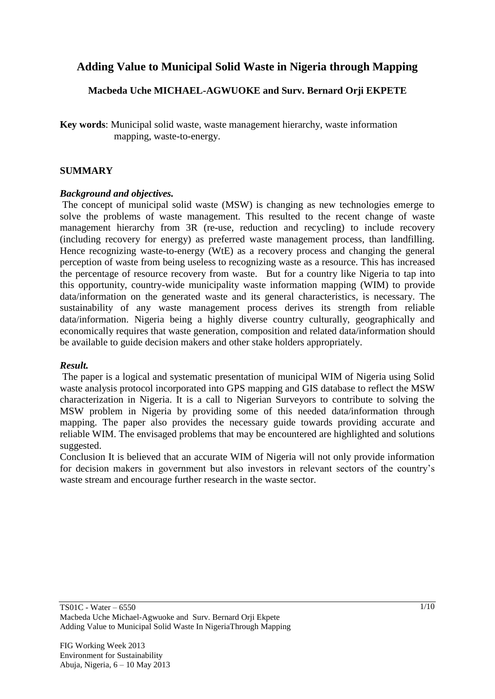# **Adding Value to Municipal Solid Waste in Nigeria through Mapping**

## **Macbeda Uche MICHAEL-AGWUOKE and Surv. Bernard Orji EKPETE**

**Key words**: Municipal solid waste, waste management hierarchy, waste information mapping, waste-to-energy.

## **SUMMARY**

#### *Background and objectives.*

The concept of municipal solid waste (MSW) is changing as new technologies emerge to solve the problems of waste management. This resulted to the recent change of waste management hierarchy from 3R (re-use, reduction and recycling) to include recovery (including recovery for energy) as preferred waste management process, than landfilling. Hence recognizing waste-to-energy (WtE) as a recovery process and changing the general perception of waste from being useless to recognizing waste as a resource. This has increased the percentage of resource recovery from waste. But for a country like Nigeria to tap into this opportunity, country-wide municipality waste information mapping (WIM) to provide data/information on the generated waste and its general characteristics, is necessary. The sustainability of any waste management process derives its strength from reliable data/information. Nigeria being a highly diverse country culturally, geographically and economically requires that waste generation, composition and related data/information should be available to guide decision makers and other stake holders appropriately.

## *Result.*

The paper is a logical and systematic presentation of municipal WIM of Nigeria using Solid waste analysis protocol incorporated into GPS mapping and GIS database to reflect the MSW characterization in Nigeria. It is a call to Nigerian Surveyors to contribute to solving the MSW problem in Nigeria by providing some of this needed data/information through mapping. The paper also provides the necessary guide towards providing accurate and reliable WIM. The envisaged problems that may be encountered are highlighted and solutions suggested.

Conclusion It is believed that an accurate WIM of Nigeria will not only provide information for decision makers in government but also investors in relevant sectors of the country"s waste stream and encourage further research in the waste sector.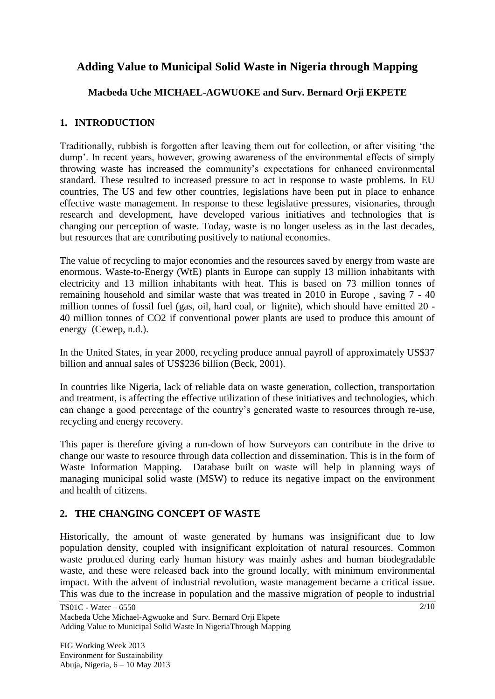# **Adding Value to Municipal Solid Waste in Nigeria through Mapping**

## **Macbeda Uche MICHAEL-AGWUOKE and Surv. Bernard Orji EKPETE**

# **1. INTRODUCTION**

Traditionally, rubbish is forgotten after leaving them out for collection, or after visiting "the dump". In recent years, however, growing awareness of the environmental effects of simply throwing waste has increased the community"s expectations for enhanced environmental standard. These resulted to increased pressure to act in response to waste problems. In EU countries, The US and few other countries, legislations have been put in place to enhance effective waste management. In response to these legislative pressures, visionaries, through research and development, have developed various initiatives and technologies that is changing our perception of waste. Today, waste is no longer useless as in the last decades, but resources that are contributing positively to national economies.

The value of recycling to major economies and the resources saved by energy from waste are enormous. Waste-to-Energy (WtE) plants in Europe can supply 13 million inhabitants with electricity and 13 million inhabitants with heat. This is based on 73 million tonnes of remaining household and similar waste that was treated in 2010 in Europe , saving 7 - 40 million tonnes of fossil fuel (gas, oil, hard coal, or lignite), which should have emitted 20 - 40 million tonnes of CO2 if conventional power plants are used to produce this amount of energy (Cewep, n.d.).

In the United States, in year 2000, recycling produce annual payroll of approximately US\$37 billion and annual sales of US\$236 billion (Beck, 2001).

In countries like Nigeria, lack of reliable data on waste generation, collection, transportation and treatment, is affecting the effective utilization of these initiatives and technologies, which can change a good percentage of the country"s generated waste to resources through re-use, recycling and energy recovery.

This paper is therefore giving a run-down of how Surveyors can contribute in the drive to change our waste to resource through data collection and dissemination. This is in the form of Waste Information Mapping. Database built on waste will help in planning ways of managing municipal solid waste (MSW) to reduce its negative impact on the environment and health of citizens.

# **2. THE CHANGING CONCEPT OF WASTE**

Historically, the amount of [waste](http://en.wikipedia.org/wiki/Waste) generated by humans was insignificant due to low [population density,](http://en.wikipedia.org/wiki/Population_density) coupled with insignificant exploitation of [natural resources.](http://en.wikipedia.org/wiki/Natural_resources) Common waste produced during early human history was mainly ashes and human [biodegradable](http://en.wikipedia.org/wiki/Biodegradable_waste)  [waste,](http://en.wikipedia.org/wiki/Biodegradable_waste) and these were released back into the ground locally, with minimum [environmental](http://en.wikipedia.org/wiki/Environmental_degradation)  [impact.](http://en.wikipedia.org/wiki/Environmental_degradation) With the advent of [industrial revolution,](http://en.wikipedia.org/wiki/Industrial_revolution) waste management became a critical issue. This was due to the increase in population and the massive migration of people to industrial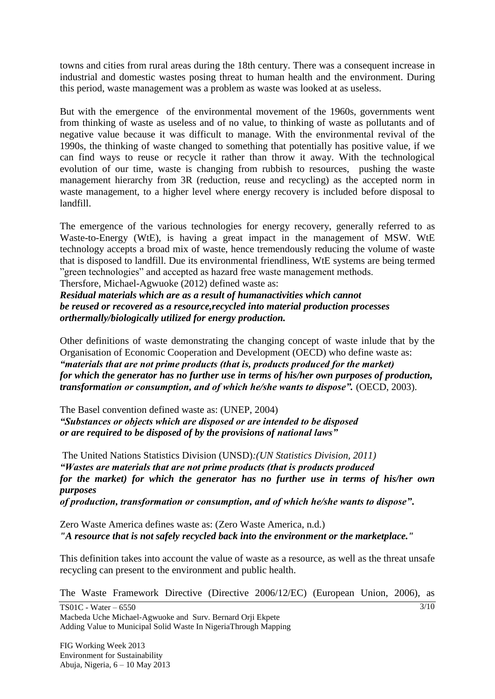towns and cities from rural areas during the [18th century.](http://en.wikipedia.org/wiki/18th_century) There was a consequent increase in industrial and [domestic wastes](http://en.wikipedia.org/wiki/Domestic_waste) posing threat to [human health](http://en.wikipedia.org/wiki/Human_health) and the environment. During this period, waste management was a problem as waste was looked at as useless.

But with the emergence of the environmental movement of the 1960s, governments went from thinking of waste as useless and of no value, to thinking of waste as pollutants and of negative value because it was difficult to manage. With the environmental revival of the 1990s, the thinking of waste changed to something that potentially has positive value, if we can find ways to reuse or recycle it rather than throw it away. With the technological evolution of our time, waste is changing from rubbish to resources, pushing the waste management hierarchy from 3R (reduction, reuse and recycling) as the accepted norm in waste management, to a higher level where energy recovery is included before disposal to landfill.

The emergence of the various technologies for energy recovery, generally referred to as Waste-to-Energy (WtE), is having a great impact in the management of MSW. WtE technology accepts a broad mix of waste, hence tremendously reducing the volume of waste that is disposed to landfill. Due its environmental friendliness, WtE systems are being termed "green technologies" and accepted as hazard free waste management methods.

Thersfore, Michael-Agwuoke (2012) defined waste as:

*Residual materials which are as a result of humanactivities which cannot be reused or recovered as a resource,recycled into material production processes orthermally/biologically utilized for energy production.*

Other definitions of waste demonstrating the changing concept of waste inlude that by the Organisation of Economic Cooperation and Development (OECD) who define waste as: *"materials that are not prime products (that is, products produced for the market) for which the generator has no further use in terms of his/her own purposes of production, transformation or consumption, and of which he/she wants to dispose".* (OECD, 2003).

The Basel convention defined waste as: (UNEP, 2004) *"Substances or objects which are disposed or are intended to be disposed or are required to be disposed of by the provisions of national laws"*

The United Nations Statistics Division (UNSD)*:(UN Statistics Division, 2011) "Wastes are materials that are not prime products (that is products produced for the market) for which the generator has no further use in terms of his/her own purposes of production, transformation or consumption, and of which he/she wants to dispose"***.**

Zero Waste America defines waste as: (Zero Waste America, n.d.) *"A resource that is not safely recycled back into the environment or the marketplace."*

This definition takes into account the value of waste as a resource, as well as the threat unsafe recycling can present to the environment and public health.

The Waste Framework Directive (Directive 2006/12/EC) (European Union, 2006), as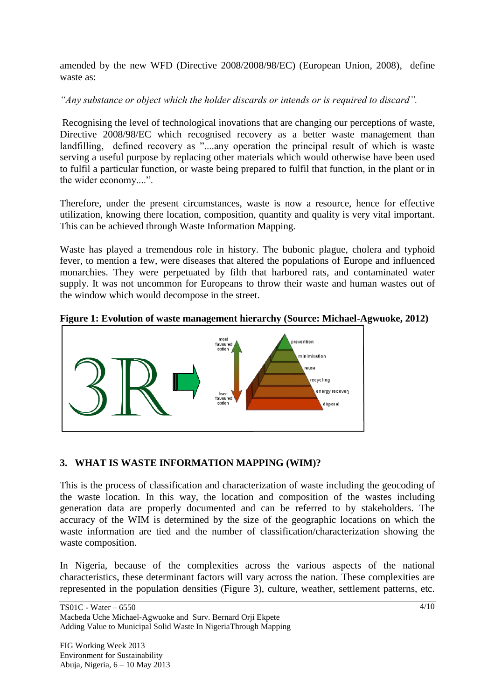amended by the new WFD (Directive 2008/2008/98/EC) (European Union, 2008), define waste as:

*"Any substance or object which the holder discards or intends or is required to discard".*

Recognising the level of technological inovations that are changing our perceptions of waste, Directive 2008/98/EC which recognised recovery as a better waste management than landfilling, defined recovery as "....any operation the principal result of which is waste serving a useful purpose by replacing other materials which would otherwise have been used to fulfil a particular function, or waste being prepared to fulfil that function, in the plant or in the wider economy....".

Therefore, under the present circumstances, waste is now a resource, hence for effective utilization, knowing there location, composition, quantity and quality is very vital important. This can be achieved through Waste Information Mapping.

Waste has played a tremendous role in history. The [bubonic plague,](http://en.wikipedia.org/wiki/Bubonic_Plague) [cholera](http://en.wikipedia.org/wiki/Cholera) and [typhoid](http://en.wikipedia.org/wiki/Typhoid_fever)  [fever,](http://en.wikipedia.org/wiki/Typhoid_fever) to mention a few, were diseases that altered the populations of [Europe](http://en.wikipedia.org/wiki/Europe) and influenced [monarchies.](http://en.wikipedia.org/wiki/Monarchies) They were perpetuated by filth that harbored rats, and contaminated water supply. It was not uncommon for [Europeans](http://en.wikipedia.org/wiki/European_ethnic_groups) to throw their waste and [human wastes](http://en.wikipedia.org/wiki/Human_waste) out of the window which would decompose in the street.





## **3. WHAT IS WASTE INFORMATION MAPPING (WIM)?**

This is the process of classification and characterization of waste including the geocoding of the waste location. In this way, the location and composition of the wastes including generation data are properly documented and can be referred to by stakeholders. The accuracy of the WIM is determined by the size of the geographic locations on which the waste information are tied and the number of classification/characterization showing the waste composition.

In Nigeria, because of the complexities across the various aspects of the national characteristics, these determinant factors will vary across the nation. These complexities are represented in the population densities (Figure 3), culture, weather, settlement patterns, etc.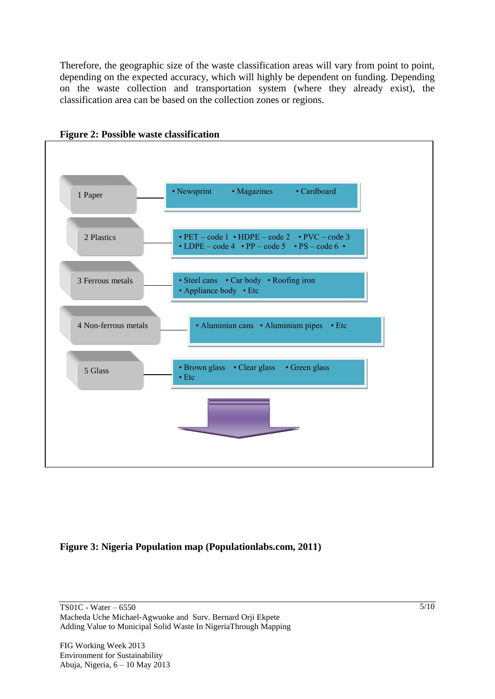Therefore, the geographic size of the waste classification areas will vary from point to point, depending on the expected accuracy, which will highly be dependent on funding. Depending on the waste collection and transportation system (where they already exist), the classification area can be based on the collection zones or regions.





## **Figure 3: Nigeria Population map (Populationlabs.com, 2011)**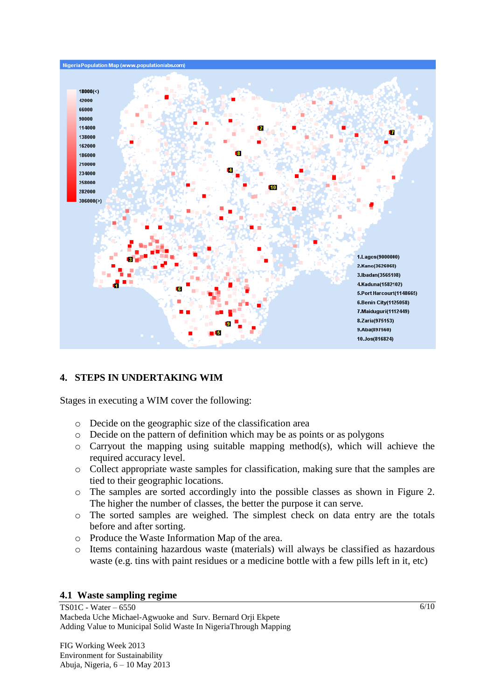

## **4. STEPS IN UNDERTAKING WIM**

Stages in executing a WIM cover the following:

- o Decide on the geographic size of the classification area
- o Decide on the pattern of definition which may be as points or as polygons
- o Carryout the mapping using suitable mapping method(s), which will achieve the required accuracy level.
- o Collect appropriate waste samples for classification, making sure that the samples are tied to their geographic locations.
- o The samples are sorted accordingly into the possible classes as shown in Figure 2. The higher the number of classes, the better the purpose it can serve.
- o The sorted samples are weighed. The simplest check on data entry are the totals before and after sorting.
- o Produce the Waste Information Map of the area.
- o Items containing hazardous waste (materials) will always be classified as hazardous waste (e.g. tins with paint residues or a medicine bottle with a few pills left in it, etc)

#### **4.1 Waste sampling regime**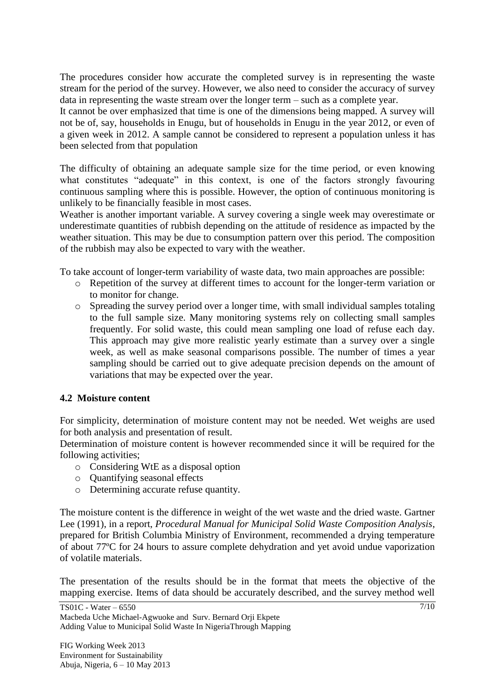The procedures consider how accurate the completed survey is in representing the waste stream for the period of the survey. However, we also need to consider the accuracy of survey data in representing the waste stream over the longer term – such as a complete year.

It cannot be over emphasized that time is one of the dimensions being mapped. A survey will not be of, say, households in Enugu, but of households in Enugu in the year 2012, or even of a given week in 2012. A sample cannot be considered to represent a population unless it has been selected from that population

The difficulty of obtaining an adequate sample size for the time period, or even knowing what constitutes "adequate" in this context, is one of the factors strongly favouring continuous sampling where this is possible. However, the option of continuous monitoring is unlikely to be financially feasible in most cases.

Weather is another important variable. A survey covering a single week may overestimate or underestimate quantities of rubbish depending on the attitude of residence as impacted by the weather situation. This may be due to consumption pattern over this period. The composition of the rubbish may also be expected to vary with the weather.

To take account of longer-term variability of waste data, two main approaches are possible:

- o Repetition of the survey at different times to account for the longer-term variation or to monitor for change.
- o Spreading the survey period over a longer time, with small individual samples totaling to the full sample size. Many monitoring systems rely on collecting small samples frequently. For solid waste, this could mean sampling one load of refuse each day. This approach may give more realistic yearly estimate than a survey over a single week, as well as make seasonal comparisons possible. The number of times a year sampling should be carried out to give adequate precision depends on the amount of variations that may be expected over the year.

## **4.2 Moisture content**

For simplicity, determination of moisture content may not be needed. Wet weighs are used for both analysis and presentation of result.

Determination of moisture content is however recommended since it will be required for the following activities;

- o Considering WtE as a disposal option
- o Quantifying seasonal effects
- o Determining accurate refuse quantity.

The moisture content is the difference in weight of the wet waste and the dried waste. Gartner Lee (1991), in a report, *Procedural Manual for Municipal Solid Waste Composition Analysis*, prepared for British Columbia Ministry of Environment, recommended a drying temperature of about 77ºC for 24 hours to assure complete dehydration and yet avoid undue vaporization of volatile materials.

The presentation of the results should be in the format that meets the objective of the mapping exercise. Items of data should be accurately described, and the survey method well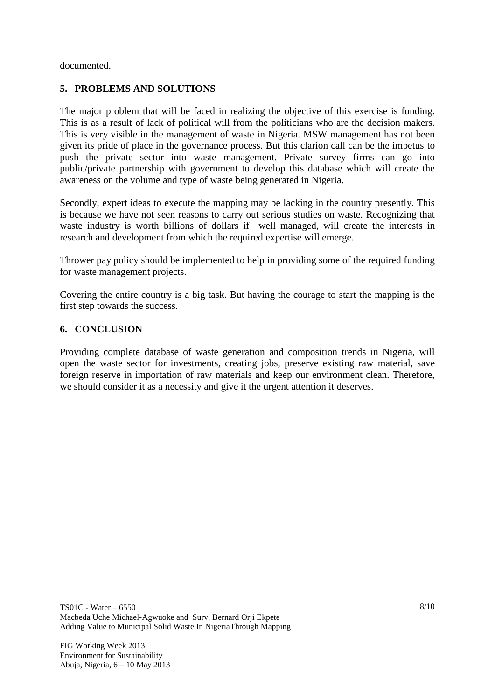documented.

## **5. PROBLEMS AND SOLUTIONS**

The major problem that will be faced in realizing the objective of this exercise is funding. This is as a result of lack of political will from the politicians who are the decision makers. This is very visible in the management of waste in Nigeria. MSW management has not been given its pride of place in the governance process. But this clarion call can be the impetus to push the private sector into waste management. Private survey firms can go into public/private partnership with government to develop this database which will create the awareness on the volume and type of waste being generated in Nigeria.

Secondly, expert ideas to execute the mapping may be lacking in the country presently. This is because we have not seen reasons to carry out serious studies on waste. Recognizing that waste industry is worth billions of dollars if well managed, will create the interests in research and development from which the required expertise will emerge.

Thrower pay policy should be implemented to help in providing some of the required funding for waste management projects.

Covering the entire country is a big task. But having the courage to start the mapping is the first step towards the success.

#### **6. CONCLUSION**

Providing complete database of waste generation and composition trends in Nigeria, will open the waste sector for investments, creating jobs, preserve existing raw material, save foreign reserve in importation of raw materials and keep our environment clean. Therefore, we should consider it as a necessity and give it the urgent attention it deserves.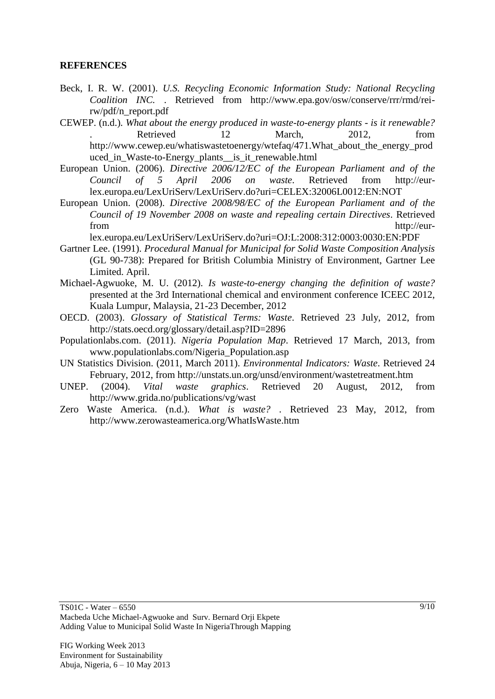#### **REFERENCES**

- Beck, I. R. W. (2001). *U.S. Recycling Economic Information Study: National Recycling Coalition INC.* . Retrieved from http://www.epa.gov/osw/conserve/rrr/rmd/reirw/pdf/n\_report.pdf
- CEWEP. (n.d.). *What about the energy produced in waste-to-energy plants - is it renewable?*  . Retrieved 12 March, 2012, from http://www.cewep.eu/whatiswastetoenergy/wtefaq/471.What\_about\_the\_energy\_prod uced\_in\_Waste-to-Energy\_plants\_\_is\_it\_renewable.html
- European Union. (2006). *Directive 2006/12/EC of the European Parliament and of the Council of 5 April 2006 on waste*. Retrieved from http://eurlex.europa.eu/LexUriServ/LexUriServ.do?uri=CELEX:32006L0012:EN:NOT
- European Union. (2008). *Directive 2008/98/EC of the European Parliament and of the Council of 19 November 2008 on waste and repealing certain Directives*. Retrieved from http://eur-

lex.europa.eu/LexUriServ/LexUriServ.do?uri=OJ:L:2008:312:0003:0030:EN:PDF

- Gartner Lee. (1991). *Procedural Manual for Municipal for Solid Waste Composition Analysis* (GL 90-738): Prepared for British Columbia Ministry of Environment, Gartner Lee Limited. April.
- Michael-Agwuoke, M. U. (2012). *Is waste-to-energy changing the definition of waste?* presented at the 3rd International chemical and environment conference ICEEC 2012, Kuala Lumpur, Malaysia, 21-23 December, 2012
- OECD. (2003). *Glossary of Statistical Terms: Waste*. Retrieved 23 July, 2012, from http://stats.oecd.org/glossary/detail.asp?ID=2896
- Populationlabs.com. (2011). *Nigeria Population Map*. Retrieved 17 March, 2013, from www.populationlabs.com/Nigeria\_Population.asp
- UN Statistics Division. (2011, March 2011). *Environmental Indicators: Waste*. Retrieved 24 February, 2012, from http://unstats.un.org/unsd/environment/wastetreatment.htm
- UNEP. (2004). *Vital waste graphics*. Retrieved 20 August, 2012, from http://www.grida.no/publications/vg/wast
- Zero Waste America. (n.d.). *What is waste?* . Retrieved 23 May, 2012, from http://www.zerowasteamerica.org/WhatIsWaste.htm

TS01C - Water – 6550